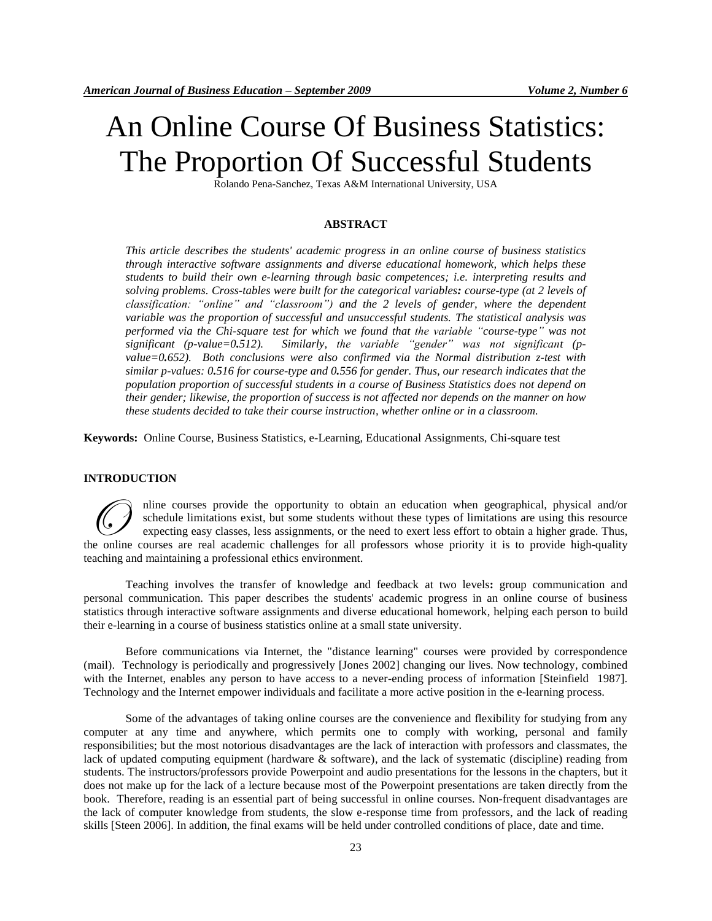# An Online Course Of Business Statistics: The Proportion Of Successful Students

Rolando Pena-Sanchez, Texas A&M International University, USA

# **ABSTRACT**

*This article describes the students' academic progress in an online course of business statistics through interactive software assignments and diverse educational homework, which helps these students to build their own e-learning through basic competences; i.e. interpreting results and solving problems. Cross-tables were built for the categorical variables: course-type (at 2 levels of classification: "online" and "classroom") and the 2 levels of gender, where the dependent variable was the proportion of successful and unsuccessful students. The statistical analysis was performed via the Chi-square test for which we found that the variable "course-type" was not significant (p-value=0.512). Similarly, the variable "gender" was not significant (pvalue=0.652). Both conclusions were also confirmed via the Normal distribution z-test with similar p-values: 0.516 for course-type and 0.556 for gender. Thus, our research indicates that the population proportion of successful students in a course of Business Statistics does not depend on their gender; likewise, the proportion of success is not affected nor depends on the manner on how these students decided to take their course instruction, whether online or in a classroom.* 

**Keywords:** Online Course, Business Statistics, e-Learning, Educational Assignments, Chi-square test

#### **INTRODUCTION**

nline courses provide the opportunity to obtain an education when geographical, physical and/or schedule limitations exist, but some students without these types of limitations are using this resource expecting easy classes, less assignments, or the need to exert less effort to obtain a higher grade. Thus, The courses provide the opportunity to obtain an education when geographical, physical and/or schedule limitations exist, but some students without these types of limitations are using this resource expecting easy classes, teaching and maintaining a professional ethics environment.

Teaching involves the transfer of knowledge and feedback at two levels**:** group communication and personal communication. This paper describes the students' academic progress in an online course of business statistics through interactive software assignments and diverse educational homework, helping each person to build their e-learning in a course of business statistics online at a small state university.

Before communications via Internet, the "distance learning" courses were provided by correspondence (mail). Technology is periodically and progressively [Jones 2002] changing our lives. Now technology, combined with the Internet, enables any person to have access to a never-ending process of information [Steinfield 1987]. Technology and the Internet empower individuals and facilitate a more active position in the e-learning process.

Some of the advantages of taking online courses are the convenience and flexibility for studying from any computer at any time and anywhere, which permits one to comply with working, personal and family responsibilities; but the most notorious disadvantages are the lack of interaction with professors and classmates, the lack of updated computing equipment (hardware & software), and the lack of systematic (discipline) reading from students. The instructors/professors provide Powerpoint and audio presentations for the lessons in the chapters, but it does not make up for the lack of a lecture because most of the Powerpoint presentations are taken directly from the book. Therefore, reading is an essential part of being successful in online courses. Non-frequent disadvantages are the lack of computer knowledge from students, the slow e-response time from professors, and the lack of reading skills [Steen 2006]. In addition, the final exams will be held under controlled conditions of place, date and time.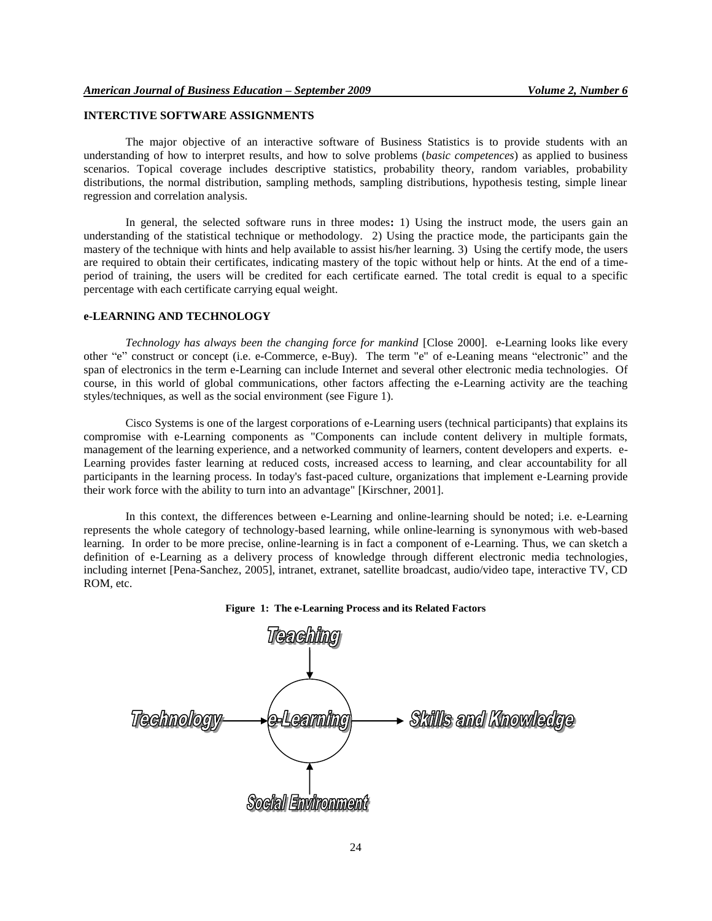# **INTERCTIVE SOFTWARE ASSIGNMENTS**

The major objective of an interactive software of Business Statistics is to provide students with an understanding of how to interpret results, and how to solve problems (*basic competences*) as applied to business scenarios. Topical coverage includes descriptive statistics, probability theory, random variables, probability distributions, the normal distribution, sampling methods, sampling distributions, hypothesis testing, simple linear regression and correlation analysis.

In general, the selected software runs in three modes**:** 1) Using the instruct mode, the users gain an understanding of the statistical technique or methodology. 2) Using the practice mode, the participants gain the mastery of the technique with hints and help available to assist his/her learning. 3) Using the certify mode, the users are required to obtain their certificates, indicating mastery of the topic without help or hints. At the end of a timeperiod of training, the users will be credited for each certificate earned. The total credit is equal to a specific percentage with each certificate carrying equal weight.

#### **e-LEARNING AND TECHNOLOGY**

*Technology has always been the changing force for mankind* [Close 2000]. e-Learning looks like every other "e" construct or concept (i.e. e-Commerce, e-Buy). The term "e" of e-Leaning means "electronic" and the span of electronics in the term e-Learning can include Internet and several other electronic media technologies. Of course, in this world of global communications, other factors affecting the e-Learning activity are the teaching styles/techniques, as well as the social environment (see Figure 1).

Cisco Systems is one of the largest corporations of e-Learning users (technical participants) that explains its compromise with e-Learning components as "Components can include content delivery in multiple formats, management of the learning experience, and a networked community of learners, content developers and experts. e-Learning provides faster learning at reduced costs, increased access to learning, and clear accountability for all participants in the learning process. In today's fast-paced culture, organizations that implement e-Learning provide their work force with the ability to turn into an advantage" [Kirschner, 2001].

In this context, the differences between e-Learning and online-learning should be noted; i.e. e-Learning represents the whole category of technology-based learning, while online-learning is synonymous with web-based learning. In order to be more precise, online-learning is in fact a component of e-Learning. Thus, we can sketch a definition of e-Learning as a delivery process of knowledge through different electronic media technologies, including internet [Pena-Sanchez, 2005], intranet, extranet, satellite broadcast, audio/video tape, interactive TV, CD ROM, etc.



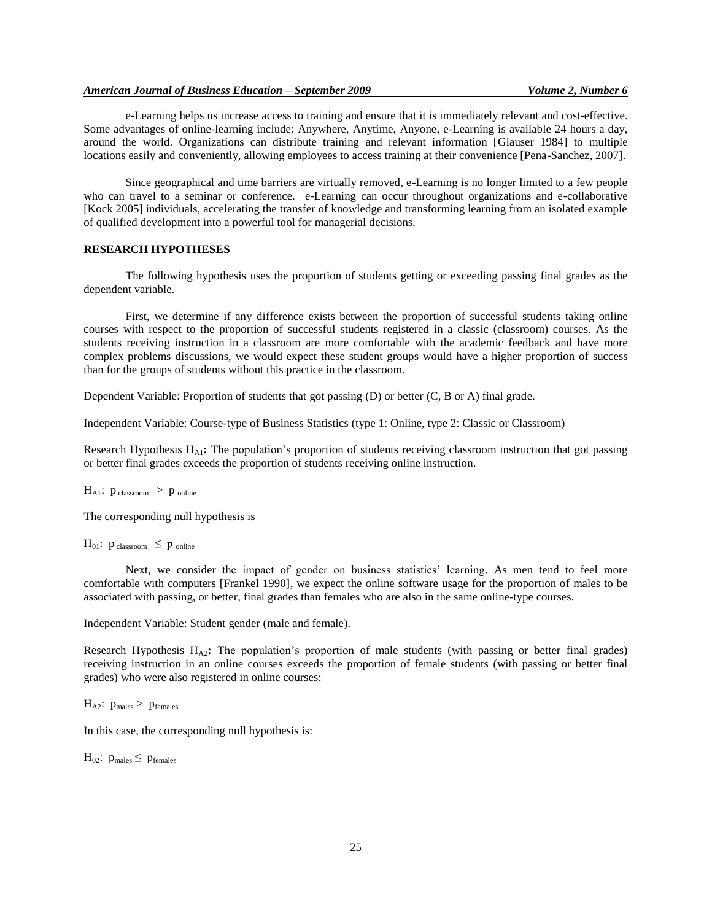# *American Journal of Business Education – September 2009 Volume 2, Number 6*

e-Learning helps us increase access to training and ensure that it is immediately relevant and cost-effective. Some advantages of online-learning include: Anywhere, Anytime, Anyone, e-Learning is available 24 hours a day, around the world. Organizations can distribute training and relevant information [Glauser 1984] to multiple locations easily and conveniently, allowing employees to access training at their convenience [Pena-Sanchez, 2007].

Since geographical and time barriers are virtually removed, e-Learning is no longer limited to a few people who can travel to a seminar or conference. e-Learning can occur throughout organizations and e-collaborative [Kock 2005] individuals, accelerating the transfer of knowledge and transforming learning from an isolated example of qualified development into a powerful tool for managerial decisions.

### **RESEARCH HYPOTHESES**

The following hypothesis uses the proportion of students getting or exceeding passing final grades as the dependent variable.

First, we determine if any difference exists between the proportion of successful students taking online courses with respect to the proportion of successful students registered in a classic (classroom) courses. As the students receiving instruction in a classroom are more comfortable with the academic feedback and have more complex problems discussions, we would expect these student groups would have a higher proportion of success than for the groups of students without this practice in the classroom.

Dependent Variable: Proportion of students that got passing (D) or better (C, B or A) final grade.

Independent Variable: Course-type of Business Statistics (type 1: Online, type 2: Classic or Classroom)

Research Hypothesis  $H_{A1}$ : The population's proportion of students receiving classroom instruction that got passing or better final grades exceeds the proportion of students receiving online instruction.

 $H_{A1}: p_{\text{ classroom}} > p_{\text{online}}$ 

The corresponding null hypothesis is

H<sub>01</sub>:  $p_{\text{ classroom}} \leq p_{\text{online}}$ 

Next, we consider the impact of gender on business statistics' learning. As men tend to feel more comfortable with computers [Frankel 1990], we expect the online software usage for the proportion of males to be associated with passing, or better, final grades than females who are also in the same online-type courses.

Independent Variable: Student gender (male and female).

Research Hypothesis  $H_{A2}$ : The population's proportion of male students (with passing or better final grades) receiving instruction in an online courses exceeds the proportion of female students (with passing or better final grades) who were also registered in online courses:

 $H_{A2}:$   $p_{males}$  >  $p_{females}$ 

In this case, the corresponding null hypothesis is:

 $H_{02}$ :  $p_{\text{males}} \leq p_{\text{females}}$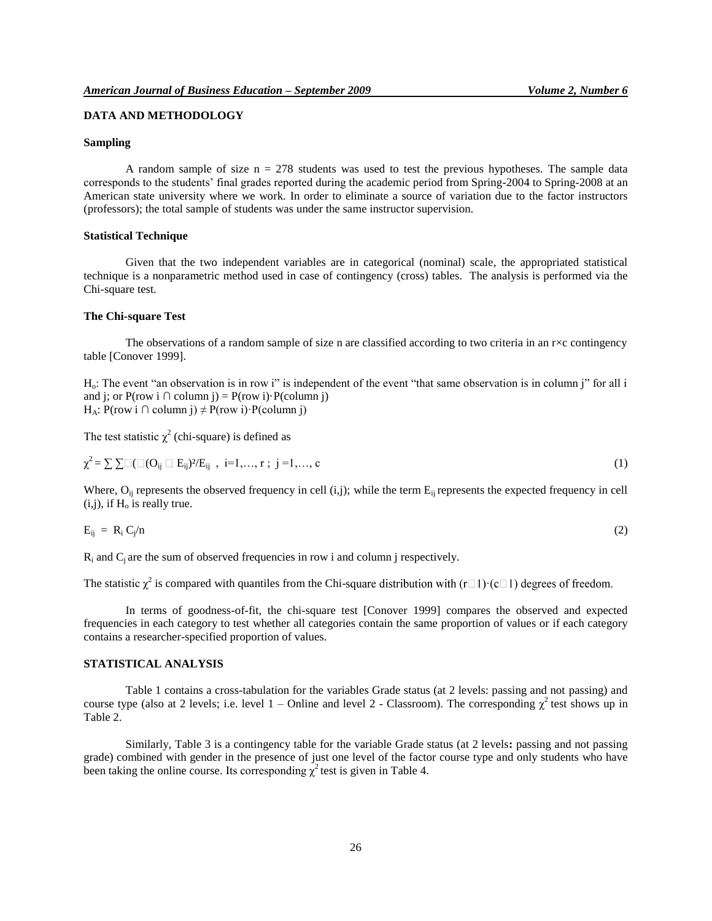# **DATA AND METHODOLOGY**

#### **Sampling**

A random sample of size  $n = 278$  students was used to test the previous hypotheses. The sample data corresponds to the students' final grades reported during the academic period from Spring-2004 to Spring-2008 at an American state university where we work. In order to eliminate a source of variation due to the factor instructors (professors); the total sample of students was under the same instructor supervision.

#### **Statistical Technique**

Given that the two independent variables are in categorical (nominal) scale, the appropriated statistical technique is a nonparametric method used in case of contingency (cross) tables. The analysis is performed via the Chi-square test.

#### **The Chi-square Test**

The observations of a random sample of size n are classified according to two criteria in an  $r \times c$  contingency table [Conover 1999].

Ho: The event "an observation is in row i" is independent of the event "that same observation is in column j" for all i and j; or  $P(\text{row } i \cap \text{column } j) = P(\text{row } i) \cdot P(\text{column } j)$ H<sub>A</sub>: P(row i ∩ column j)  $\neq$  P(row i) · P(column j)

The test statistic  $\chi^2$  (chi-square) is defined as

$$
\chi^{2} = \sum \sum \Box (\Box (O_{ij} \Box E_{ij})^{2}/E_{ij} , i=1,...,r ; j=1,...,c)
$$
\n(1)

Where,  $O_{ii}$  represents the observed frequency in cell (i,j); while the term  $E_{ii}$  represents the expected frequency in cell  $(i,j)$ , if  $H_0$  is really true.

$$
E_{ij} = R_i C_j / n \tag{2}
$$

 $R_i$  and  $C_i$  are the sum of observed frequencies in row i and column j respectively.

The statistic  $\chi^2$  is compared with quantiles from the Chi-

In terms of goodness-of-fit, the chi-square test [Conover 1999] compares the observed and expected frequencies in each category to test whether all categories contain the same proportion of values or if each category contains a researcher-specified proportion of values.

#### **STATISTICAL ANALYSIS**

Table 1 contains a cross-tabulation for the variables Grade status (at 2 levels: passing and not passing) and course type (also at 2 levels; i.e. level  $1$  – Online and level 2 - Classroom). The corresponding  $\chi^2$  test shows up in Table 2.

Similarly, Table 3 is a contingency table for the variable Grade status (at 2 levels**:** passing and not passing grade) combined with gender in the presence of just one level of the factor course type and only students who have been taking the online course. Its corresponding  $\chi^2$  test is given in Table 4.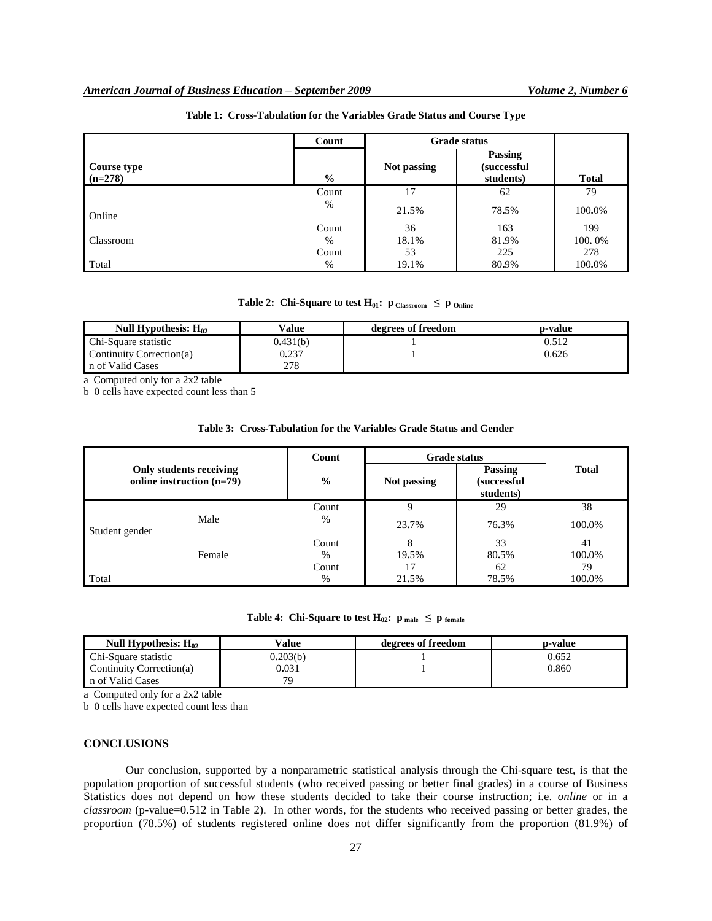|                                 | Count         |             | <b>Grade status</b>                         |              |
|---------------------------------|---------------|-------------|---------------------------------------------|--------------|
| <b>Course type</b><br>$(n=278)$ | $\frac{0}{0}$ | Not passing | Passing<br><i>(successful)</i><br>students) | <b>Total</b> |
|                                 | Count         | 17          | 62                                          | 79           |
| Online                          | %             | 21.5%       | 78.5%                                       | 100.0%       |
|                                 | Count         | 36          | 163                                         | 199          |
| Classroom                       | $\%$          | 18.1%       | 81.9%                                       | 100.0%       |
|                                 | Count         | 53          | 225                                         | 278          |
| Total                           | %             | 19.1%       | 80.9%                                       | 100.0%       |

# **Table 1: Cross-Tabulation for the Variables Grade Status and Course Type**

**Table 2:** Chi-Square to test  $H_{01}$ :  $p_{\text{Classroom}} \leq p_{\text{Online}}$ 

| Null Hypothesis: $H_{02}$ | $V$ alue | degrees of freedom | p-value |
|---------------------------|----------|--------------------|---------|
| Chi-Square statistic      | 0.431(b) |                    | 0.512   |
| Continuity Correction(a)  | 0.237    |                    | 0.626   |
| n of Valid Cases          | 278      |                    |         |

a Computed only for a 2x2 table

b 0 cells have expected count less than 5

#### **Table 3: Cross-Tabulation for the Variables Grade Status and Gender**

|                                                      |        | Count         | <b>Grade status</b> |                                     |              |
|------------------------------------------------------|--------|---------------|---------------------|-------------------------------------|--------------|
| Only students receiving<br>online instruction (n=79) |        | $\frac{0}{0}$ | Not passing         | Passing<br>(successful<br>students) | <b>Total</b> |
|                                                      |        | Count         | 9                   | 29                                  | 38           |
| Male<br>Student gender                               | $\%$   | 23.7%         | 76.3%               | 100.0%                              |              |
|                                                      |        | Count         | 8                   | 33                                  | 41           |
|                                                      | Female | %             | 19.5%               | 80.5%                               | 100.0%       |
|                                                      |        | Count         |                     | 62                                  | 79           |
| Total                                                |        | %             | 21.5%               | 78.5%                               | 100.0%       |

# **Table 4:** Chi-Square to test  $H_{02}$ :  $p_{male} \leq p_{female}$

| Null Hypothesis: $H_{02}$ | Value    | degrees of freedom | p-value |
|---------------------------|----------|--------------------|---------|
| Chi-Square statistic      | 0.203(b) |                    | 0.652   |
| Continuity Correction(a)  | 0.031    |                    | 0.860   |
| n of Valid Cases          | 79       |                    |         |

a Computed only for a 2x2 table

b 0 cells have expected count less than

#### **CONCLUSIONS**

Our conclusion, supported by a nonparametric statistical analysis through the Chi-square test, is that the population proportion of successful students (who received passing or better final grades) in a course of Business Statistics does not depend on how these students decided to take their course instruction; i.e. *online* or in a *classroom* (p-value=0.512 in Table 2). In other words, for the students who received passing or better grades, the proportion (78.5%) of students registered online does not differ significantly from the proportion (81.9%) of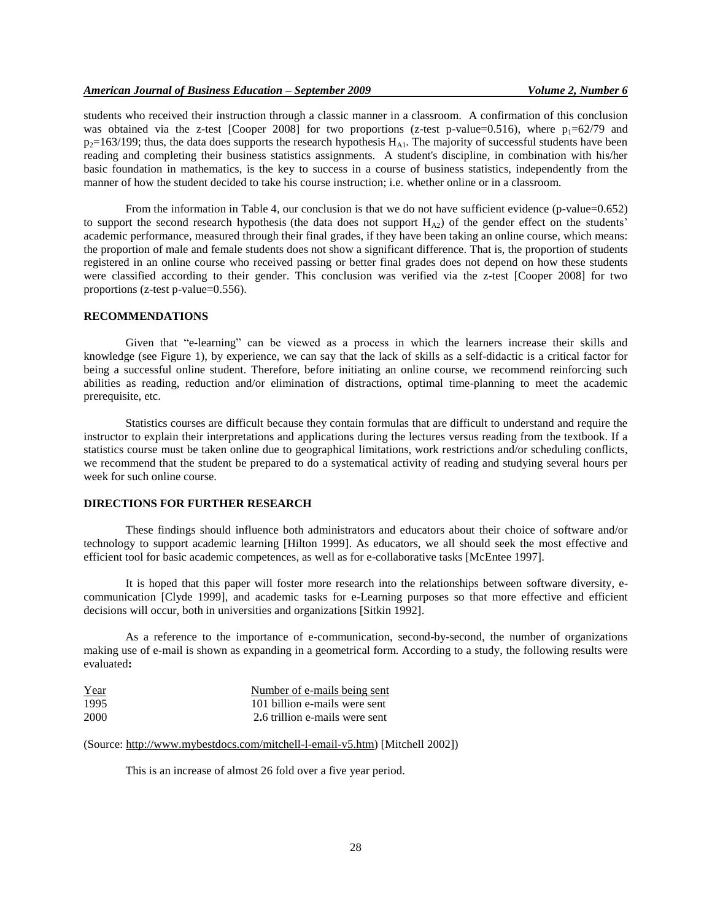students who received their instruction through a classic manner in a classroom. A confirmation of this conclusion was obtained via the z-test [Cooper 2008] for two proportions (z-test p-value=0.516), where  $p_1=62/79$  and  $p_2=163/199$ ; thus, the data does supports the research hypothesis  $H_{A1}$ . The majority of successful students have been reading and completing their business statistics assignments. A student's discipline, in combination with his/her basic foundation in mathematics, is the key to success in a course of business statistics, independently from the manner of how the student decided to take his course instruction; i.e. whether online or in a classroom.

From the information in Table 4, our conclusion is that we do not have sufficient evidence (p-value=0.652) to support the second research hypothesis (the data does not support  $H_{A2}$ ) of the gender effect on the students' academic performance, measured through their final grades, if they have been taking an online course, which means: the proportion of male and female students does not show a significant difference. That is, the proportion of students registered in an online course who received passing or better final grades does not depend on how these students were classified according to their gender. This conclusion was verified via the z-test [Cooper 2008] for two proportions (z-test p-value=0.556).

#### **RECOMMENDATIONS**

Given that "e-learning" can be viewed as a process in which the learners increase their skills and knowledge (see Figure 1), by experience, we can say that the lack of skills as a self-didactic is a critical factor for being a successful online student. Therefore, before initiating an online course, we recommend reinforcing such abilities as reading, reduction and/or elimination of distractions, optimal time-planning to meet the academic prerequisite, etc.

Statistics courses are difficult because they contain formulas that are difficult to understand and require the instructor to explain their interpretations and applications during the lectures versus reading from the textbook. If a statistics course must be taken online due to geographical limitations, work restrictions and/or scheduling conflicts, we recommend that the student be prepared to do a systematical activity of reading and studying several hours per week for such online course.

#### **DIRECTIONS FOR FURTHER RESEARCH**

These findings should influence both administrators and educators about their choice of software and/or technology to support academic learning [Hilton 1999]. As educators, we all should seek the most effective and efficient tool for basic academic competences, as well as for e-collaborative tasks [McEntee 1997].

It is hoped that this paper will foster more research into the relationships between software diversity, ecommunication [Clyde 1999], and academic tasks for e-Learning purposes so that more effective and efficient decisions will occur, both in universities and organizations [Sitkin 1992].

As a reference to the importance of e-communication, second-by-second, the number of organizations making use of e-mail is shown as expanding in a geometrical form. According to a study, the following results were evaluated**:**

| Year | Number of e-mails being sent   |
|------|--------------------------------|
| 1995 | 101 billion e-mails were sent  |
| 2000 | 2.6 trillion e-mails were sent |

(Source: http://www.mybestdocs.com/mitchell-l-email-v5.htm) [Mitchell 2002])

This is an increase of almost 26 fold over a five year period.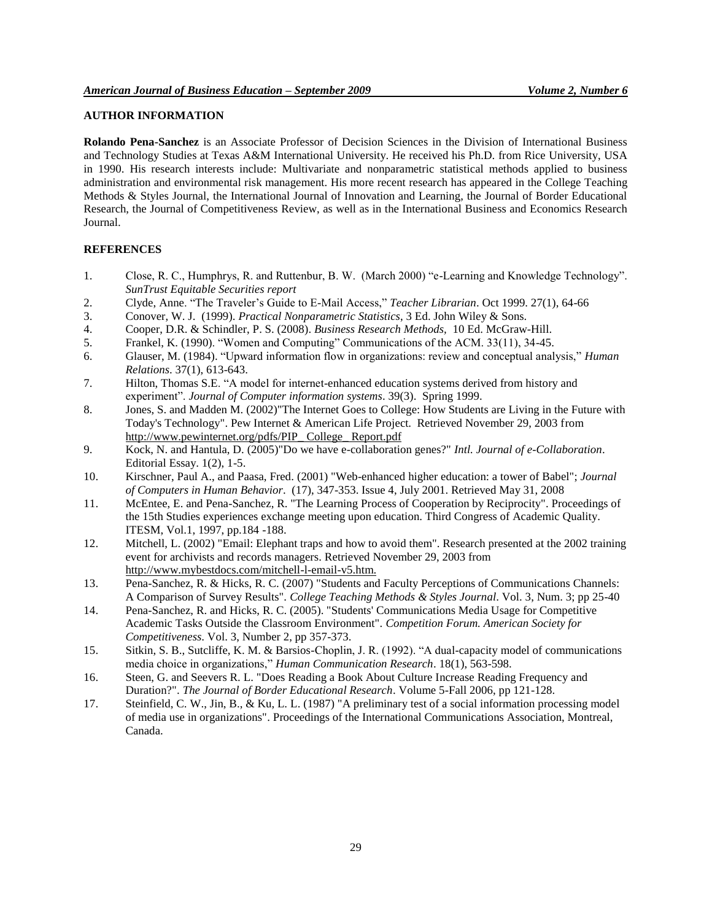# **AUTHOR INFORMATION**

**Rolando Pena-Sanchez** is an Associate Professor of Decision Sciences in the Division of International Business and Technology Studies at Texas A&M International University. He received his Ph.D. from Rice University, USA in 1990. His research interests include: Multivariate and nonparametric statistical methods applied to business administration and environmental risk management. His more recent research has appeared in the College Teaching Methods & Styles Journal, the International Journal of Innovation and Learning, the Journal of Border Educational Research, the Journal of Competitiveness Review, as well as in the International Business and Economics Research Journal.

# **REFERENCES**

- 1. Close, R. C., Humphrys, R. and Ruttenbur, B. W. (March 2000) "e-Learning and Knowledge Technology". *SunTrust Equitable Securities report*
- 2. Clyde, Anne. "The Traveler's Guide to E-Mail Access," *Teacher Librarian*. Oct 1999. 27(1), 64-66
- 3. Conover, W. J. (1999). *Practical Nonparametric Statistics*, 3 Ed. John Wiley & Sons.
- 4. Cooper, D.R. & Schindler, P. S. (2008). *Business Research Methods,* 10 Ed. McGraw-Hill.
- 5. Frankel, K. (1990). "Women and Computing" Communications of the ACM. 33(11), 34-45.
- 6. Glauser, M. (1984). "Upward information flow in organizations: review and conceptual analysis," *Human Relations*. 37(1), 613-643.
- 7. Hilton, Thomas S.E. "A model for internet-enhanced education systems derived from history and experiment". *Journal of Computer information systems*. 39(3). Spring 1999.
- 8. Jones, S. and Madden M. (2002)"The Internet Goes to College: How Students are Living in the Future with Today's Technology". Pew Internet & American Life Project. Retrieved November 29, 2003 from http://www.pewinternet.org/pdfs/PIP\_College\_ Report.pdf
- 9. Kock, N. and Hantula, D. (2005)"Do we have e-collaboration genes?" *Intl. Journal of e-Collaboration*. Editorial Essay. 1(2), 1-5.
- 10. Kirschner, Paul A., and Paasa, Fred. (2001) "Web-enhanced higher education: a tower of Babel"; *Journal of Computers in Human Behavior*. (17), 347-353. Issue 4, July 2001. Retrieved May 31, 2008
- 11. McEntee, E. and Pena-Sanchez, R. "The Learning Process of Cooperation by Reciprocity". Proceedings of the 15th Studies experiences exchange meeting upon education. Third Congress of Academic Quality. ITESM, Vol.1, 1997, pp.184 -188.
- 12. Mitchell, L. (2002) "Email: Elephant traps and how to avoid them". Research presented at the 2002 training event for archivists and records managers. Retrieved November 29, 2003 from http://www.mybestdocs.com/mitchell-l-email-v5.htm.
- 13. Pena-Sanchez, R. & Hicks, R. C. (2007) "Students and Faculty Perceptions of Communications Channels: A Comparison of Survey Results". *College Teaching Methods & Styles Journal*. Vol. 3, Num. 3; pp 25-40
- 14. Pena-Sanchez, R. and Hicks, R. C. (2005). "Students' Communications Media Usage for Competitive Academic Tasks Outside the Classroom Environment". *Competition Forum. American Society for Competitiveness*. Vol. 3, Number 2, pp 357-373.
- 15. Sitkin, S. B., Sutcliffe, K. M. & Barsios-Choplin, J. R. (1992). "A dual-capacity model of communications media choice in organizations," *Human Communication Research*. 18(1), 563-598.
- 16. Steen, G. and Seevers R. L. "Does Reading a Book About Culture Increase Reading Frequency and Duration?". *The Journal of Border Educational Research*. Volume 5-Fall 2006, pp 121-128.
- 17. Steinfield, C. W., Jin, B., & Ku, L. L. (1987) "A preliminary test of a social information processing model of media use in organizations". Proceedings of the International Communications Association, Montreal, Canada.